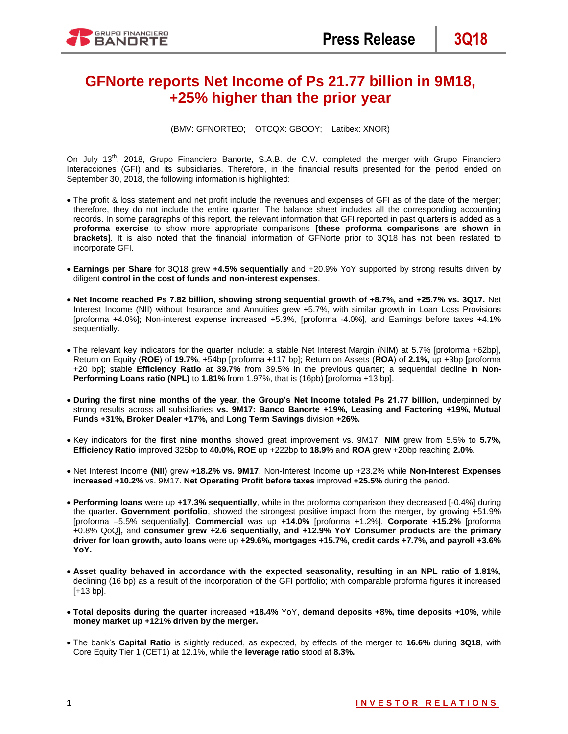# **GFNorte reports Net Income of Ps 21.77 billion in 9M18, +25% higher than the prior year**

(BMV: GFNORTEO; OTCQX: GBOOY; Latibex: XNOR)

On July 13<sup>th</sup>, 2018, Grupo Financiero Banorte, S.A.B. de C.V. completed the merger with Grupo Financiero Interacciones (GFI) and its subsidiaries. Therefore, in the financial results presented for the period ended on September 30, 2018, the following information is highlighted:

- The profit & loss statement and net profit include the revenues and expenses of GFI as of the date of the merger; therefore, they do not include the entire quarter. The balance sheet includes all the corresponding accounting records. In some paragraphs of this report, the relevant information that GFI reported in past quarters is added as a **proforma exercise** to show more appropriate comparisons **[these proforma comparisons are shown in brackets]**. It is also noted that the financial information of GFNorte prior to 3Q18 has not been restated to incorporate GFI.
- **Earnings per Share** for 3Q18 grew **+4.5% sequentially** and +20.9% YoY supported by strong results driven by diligent **control in the cost of funds and non-interest expenses**.
- **Net Income reached Ps 7.82 billion, showing strong sequential growth of +8.7%, and +25.7% vs. 3Q17.** Net Interest Income (NII) without Insurance and Annuities grew +5.7%, with similar growth in Loan Loss Provisions [proforma +4.0%]; Non-interest expense increased +5.3%, [proforma -4.0%], and Earnings before taxes +4.1% sequentially.
- The relevant key indicators for the quarter include: a stable Net Interest Margin (NIM) at 5.7% [proforma +62bp], Return on Equity (**ROE**) of **19.7%**, +54bp [proforma +117 bp]; Return on Assets (**ROA**) of **2.1%,** up +3bp [proforma +20 bp]; stable **Efficiency Ratio** at **39.7%** from 39.5% in the previous quarter; a sequential decline in **Non-Performing Loans ratio (NPL)** to **1.81%** from 1.97%, that is (16pb) [proforma +13 bp].
- **During the first nine months of the year**, **the Group's Net Income totaled Ps 21.77 billion,** underpinned by strong results across all subsidiaries **vs. 9M17: Banco Banorte +19%, Leasing and Factoring +19%, Mutual Funds +31%, Broker Dealer +17%,** and **Long Term Savings** division **+26%.**
- Key indicators for the **first nine months** showed great improvement vs. 9M17: **NIM** grew from 5.5% to **5.7%, Efficiency Ratio** improved 325bp to **40.0%, ROE** up +222bp to **18.9%** and **ROA** grew +20bp reaching **2.0%**.
- Net Interest Income **(NII)** grew **+18.2% vs. 9M17**. Non-Interest Income up +23.2% while **Non-Interest Expenses increased +10.2%** vs. 9M17. **Net Operating Profit before taxes** improved **+25.5%** during the period.
- **Performing loans** were up **+17.3% sequentially**, while in the proforma comparison they decreased [-0.4%] during the quarter**. Government portfolio**, showed the strongest positive impact from the merger, by growing +51.9% [proforma –5.5% sequentially]. **Commercial** was up **+14.0%** [proforma +1.2%]. **Corporate +15.2%** [proforma +0.8% QoQ]**,** and **consumer grew +2.6 sequentially, and +12.9% YoY Consumer products are the primary driver for loan growth, auto loans** were up **+29.6%, mortgages +15.7%, credit cards +7.7%, and payroll +3.6% YoY.**
- **Asset quality behaved in accordance with the expected seasonality, resulting in an NPL ratio of 1.81%,**  declining (16 bp) as a result of the incorporation of the GFI portfolio; with comparable proforma figures it increased [+13 bp].
- **Total deposits during the quarter** increased **+18.4%** YoY, **demand deposits +8%, time deposits +10%**, while **money market up +121% driven by the merger.**
- The bank's **Capital Ratio** is slightly reduced, as expected, by effects of the merger to **16.6%** during **3Q18**, with Core Equity Tier 1 (CET1) at 12.1%, while the **leverage ratio** stood at **8.3%.**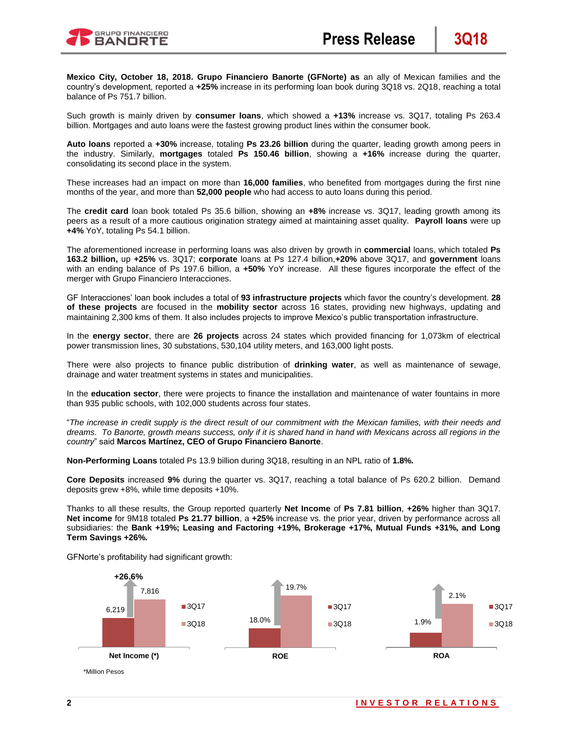

**Mexico City, October 18, 2018. Grupo Financiero Banorte (GFNorte) as** an ally of Mexican families and the country's development, reported a **+25%** increase in its performing loan book during 3Q18 vs. 2Q18, reaching a total balance of Ps 751.7 billion.

Such growth is mainly driven by **consumer loans**, which showed a **+13%** increase vs. 3Q17, totaling Ps 263.4 billion. Mortgages and auto loans were the fastest growing product lines within the consumer book.

**Auto loans** reported a **+30%** increase, totaling **Ps 23.26 billion** during the quarter, leading growth among peers in the industry. Similarly, **mortgages** totaled **Ps 150.46 billion**, showing a **+16%** increase during the quarter, consolidating its second place in the system.

These increases had an impact on more than **16,000 families**, who benefited from mortgages during the first nine months of the year, and more than **52,000 people** who had access to auto loans during this period.

The **credit card** loan book totaled Ps 35.6 billion, showing an **+8%** increase vs. 3Q17, leading growth among its peers as a result of a more cautious origination strategy aimed at maintaining asset quality. **Payroll loans** were up **+4%** YoY, totaling Ps 54.1 billion.

The aforementioned increase in performing loans was also driven by growth in **commercial** loans, which totaled **Ps 163.2 billion,** up **+25%** vs. 3Q17; **corporate** loans at Ps 127.4 billion,**+20%** above 3Q17, and **government** loans with an ending balance of Ps 197.6 billion, a **+50%** YoY increase. All these figures incorporate the effect of the merger with Grupo Financiero Interacciones.

GF Interacciones' loan book includes a total of **93 infrastructure projects** which favor the country's development. **28 of these projects** are focused in the **mobility sector** across 16 states, providing new highways, updating and maintaining 2,300 kms of them. It also includes projects to improve Mexico's public transportation infrastructure.

In the **energy sector**, there are **26 projects** across 24 states which provided financing for 1,073km of electrical power transmission lines, 30 substations, 530,104 utility meters, and 163,000 light posts.

There were also projects to finance public distribution of **drinking water**, as well as maintenance of sewage, drainage and water treatment systems in states and municipalities.

In the **education sector**, there were projects to finance the installation and maintenance of water fountains in more than 935 public schools, with 102,000 students across four states.

"*The increase in credit supply is the direct result of our commitment with the Mexican families, with their needs and dreams. To Banorte, growth means success, only if it is shared hand in hand with Mexicans across all regions in the country*" said **Marcos Martínez, CEO of Grupo Financiero Banorte**.

**Non-Performing Loans** totaled Ps 13.9 billion during 3Q18, resulting in an NPL ratio of **1.8%.**

**Core Deposits** increased **9%** during the quarter vs. 3Q17, reaching a total balance of Ps 620.2 billion. Demand deposits grew +8%, while time deposits +10%.

Thanks to all these results, the Group reported quarterly **Net Income** of **Ps 7.81 billion**, **+26%** higher than 3Q17. **Net income** for 9M18 totaled **Ps 21.77 billion**, a **+25%** increase vs. the prior year, driven by performance across all subsidiaries: the **Bank +19%; Leasing and Factoring +19%, Brokerage +17%, Mutual Funds +31%, and Long Term Savings +26%.**

GFNorte's profitability had significant growth:

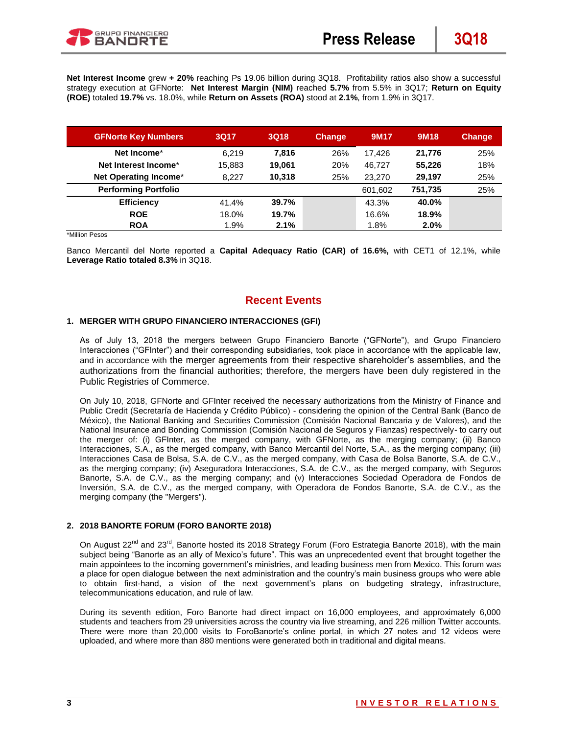**Net Interest Income** grew **+ 20%** reaching Ps 19.06 billion during 3Q18. Profitability ratios also show a successful strategy execution at GFNorte: **Net Interest Margin (NIM)** reached **5.7%** from 5.5% in 3Q17; **Return on Equity (ROE)** totaled **19.7%** vs. 18.0%, while **Return on Assets (ROA)** stood at **2.1%**, from 1.9% in 3Q17.

| <b>GFNorte Key Numbers</b>  | 3Q17   | 3Q18   | <b>Change</b> | 9M17    | 9M <sub>18</sub> | <b>Change</b> |
|-----------------------------|--------|--------|---------------|---------|------------------|---------------|
| Net Income*                 | 6.219  | 7.816  | 26%           | 17.426  | 21.776           | 25%           |
| Net Interest Income*        | 15,883 | 19.061 | 20%           | 46.727  | 55.226           | 18%           |
| Net Operating Income*       | 8.227  | 10.318 | 25%           | 23,270  | 29.197           | 25%           |
| <b>Performing Portfolio</b> |        |        |               | 601,602 | 751.735          | 25%           |
| <b>Efficiency</b>           | 41.4%  | 39.7%  |               | 43.3%   | 40.0%            |               |
| <b>ROE</b>                  | 18.0%  | 19.7%  |               | 16.6%   | 18.9%            |               |
| <b>ROA</b>                  | 1.9%   | 2.1%   |               | 1.8%    | 2.0%             |               |

\*Million Pesos

Banco Mercantil del Norte reported a **Capital Adequacy Ratio (CAR) of 16.6%,** with CET1 of 12.1%, while **Leverage Ratio totaled 8.3%** in 3Q18.

# **Recent Events**

#### **1. MERGER WITH GRUPO FINANCIERO INTERACCIONES (GFI)**

As of July 13, 2018 the mergers between Grupo Financiero Banorte ("GFNorte"), and Grupo Financiero Interacciones ("GFInter") and their corresponding subsidiaries, took place in accordance with the applicable law, and in accordance with the merger agreements from their respective shareholder's assemblies, and the authorizations from the financial authorities; therefore, the mergers have been duly registered in the Public Registries of Commerce.

On July 10, 2018, GFNorte and GFInter received the necessary authorizations from the Ministry of Finance and Public Credit (Secretaría de Hacienda y Crédito Público) - considering the opinion of the Central Bank (Banco de México), the National Banking and Securities Commission (Comisión Nacional Bancaria y de Valores), and the National Insurance and Bonding Commission (Comisión Nacional de Seguros y Fianzas) respectively- to carry out the merger of: (i) GFInter, as the merged company, with GFNorte, as the merging company; (ii) Banco Interacciones, S.A., as the merged company, with Banco Mercantil del Norte, S.A., as the merging company; (iii) Interacciones Casa de Bolsa, S.A. de C.V., as the merged company, with Casa de Bolsa Banorte, S.A. de C.V., as the merging company; (iv) Aseguradora Interacciones, S.A. de C.V., as the merged company, with Seguros Banorte, S.A. de C.V., as the merging company; and (v) Interacciones Sociedad Operadora de Fondos de Inversión, S.A. de C.V., as the merged company, with Operadora de Fondos Banorte, S.A. de C.V., as the merging company (the "Mergers").

### **2. 2018 BANORTE FORUM (FORO BANORTE 2018)**

On August 22<sup>nd</sup> and 23<sup>rd</sup>, Banorte hosted its 2018 Strategy Forum (Foro Estrategia Banorte 2018), with the main subject being "Banorte as an ally of Mexico's future". This was an unprecedented event that brought together the main appointees to the incoming government's ministries, and leading business men from Mexico. This forum was a place for open dialogue between the next administration and the country's main business groups who were able to obtain first-hand, a vision of the next government's plans on budgeting strategy, infrastructure, telecommunications education, and rule of law.

During its seventh edition, Foro Banorte had direct impact on 16,000 employees, and approximately 6,000 students and teachers from 29 universities across the country via live streaming, and 226 million Twitter accounts. There were more than 20,000 visits to ForoBanorte's online portal, in which 27 notes and 12 videos were uploaded, and where more than 880 mentions were generated both in traditional and digital means.